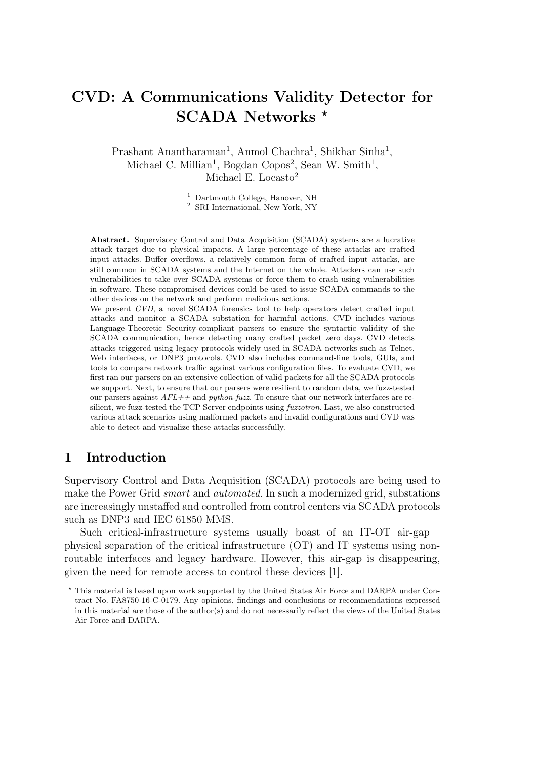# CVD: A Communications Validity Detector for SCADA Networks<sup>\*</sup>

Prashant Anantharaman<sup>1</sup>, Anmol Chachra<sup>1</sup>, Shikhar Sinha<sup>1</sup>, Michael C. Millian<sup>1</sup>, Bogdan Copos<sup>2</sup>, Sean W. Smith<sup>1</sup>, Michael E. Locasto<sup>2</sup>

> <sup>1</sup> Dartmouth College, Hanover, NH <sup>2</sup> SRI International, New York, NY

Abstract. Supervisory Control and Data Acquisition (SCADA) systems are a lucrative attack target due to physical impacts. A large percentage of these attacks are crafted input attacks. Buffer overflows, a relatively common form of crafted input attacks, are still common in SCADA systems and the Internet on the whole. Attackers can use such vulnerabilities to take over SCADA systems or force them to crash using vulnerabilities in software. These compromised devices could be used to issue SCADA commands to the other devices on the network and perform malicious actions.

We present CVD, a novel SCADA forensics tool to help operators detect crafted input attacks and monitor a SCADA substation for harmful actions. CVD includes various Language-Theoretic Security-compliant parsers to ensure the syntactic validity of the SCADA communication, hence detecting many crafted packet zero days. CVD detects attacks triggered using legacy protocols widely used in SCADA networks such as Telnet, Web interfaces, or DNP3 protocols. CVD also includes command-line tools, GUIs, and tools to compare network traffic against various configuration files. To evaluate CVD, we first ran our parsers on an extensive collection of valid packets for all the SCADA protocols we support. Next, to ensure that our parsers were resilient to random data, we fuzz-tested our parsers against  $AFL++$  and python-fuzz. To ensure that our network interfaces are resilient, we fuzz-tested the TCP Server endpoints using fuzzotron. Last, we also constructed various attack scenarios using malformed packets and invalid configurations and CVD was able to detect and visualize these attacks successfully.

### 1 Introduction

Supervisory Control and Data Acquisition (SCADA) protocols are being used to make the Power Grid *smart* and *automated*. In such a modernized grid, substations are increasingly unstaffed and controlled from control centers via SCADA protocols such as DNP3 and IEC 61850 MMS.

Such critical-infrastructure systems usually boast of an IT-OT air-gap physical separation of the critical infrastructure (OT) and IT systems using nonroutable interfaces and legacy hardware. However, this air-gap is disappearing, given the need for remote access to control these devices [1].

<sup>?</sup> This material is based upon work supported by the United States Air Force and DARPA under Contract No. FA8750-16-C-0179. Any opinions, findings and conclusions or recommendations expressed in this material are those of the author(s) and do not necessarily reflect the views of the United States Air Force and DARPA.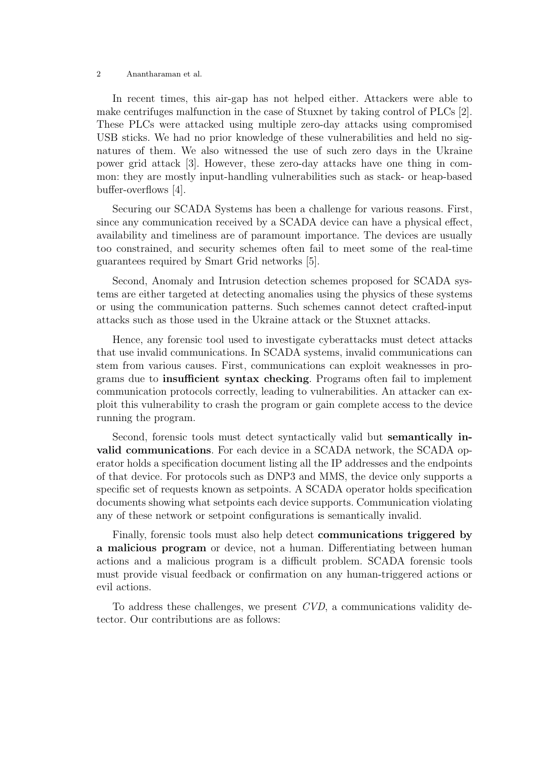In recent times, this air-gap has not helped either. Attackers were able to make centrifuges malfunction in the case of Stuxnet by taking control of PLCs [2]. These PLCs were attacked using multiple zero-day attacks using compromised USB sticks. We had no prior knowledge of these vulnerabilities and held no signatures of them. We also witnessed the use of such zero days in the Ukraine power grid attack [3]. However, these zero-day attacks have one thing in common: they are mostly input-handling vulnerabilities such as stack- or heap-based buffer-overflows [4].

Securing our SCADA Systems has been a challenge for various reasons. First, since any communication received by a SCADA device can have a physical effect, availability and timeliness are of paramount importance. The devices are usually too constrained, and security schemes often fail to meet some of the real-time guarantees required by Smart Grid networks [5].

Second, Anomaly and Intrusion detection schemes proposed for SCADA systems are either targeted at detecting anomalies using the physics of these systems or using the communication patterns. Such schemes cannot detect crafted-input attacks such as those used in the Ukraine attack or the Stuxnet attacks.

Hence, any forensic tool used to investigate cyberattacks must detect attacks that use invalid communications. In SCADA systems, invalid communications can stem from various causes. First, communications can exploit weaknesses in programs due to insufficient syntax checking. Programs often fail to implement communication protocols correctly, leading to vulnerabilities. An attacker can exploit this vulnerability to crash the program or gain complete access to the device running the program.

Second, forensic tools must detect syntactically valid but semantically invalid communications. For each device in a SCADA network, the SCADA operator holds a specification document listing all the IP addresses and the endpoints of that device. For protocols such as DNP3 and MMS, the device only supports a specific set of requests known as setpoints. A SCADA operator holds specification documents showing what setpoints each device supports. Communication violating any of these network or setpoint configurations is semantically invalid.

Finally, forensic tools must also help detect communications triggered by a malicious program or device, not a human. Differentiating between human actions and a malicious program is a difficult problem. SCADA forensic tools must provide visual feedback or confirmation on any human-triggered actions or evil actions.

To address these challenges, we present CVD, a communications validity detector. Our contributions are as follows: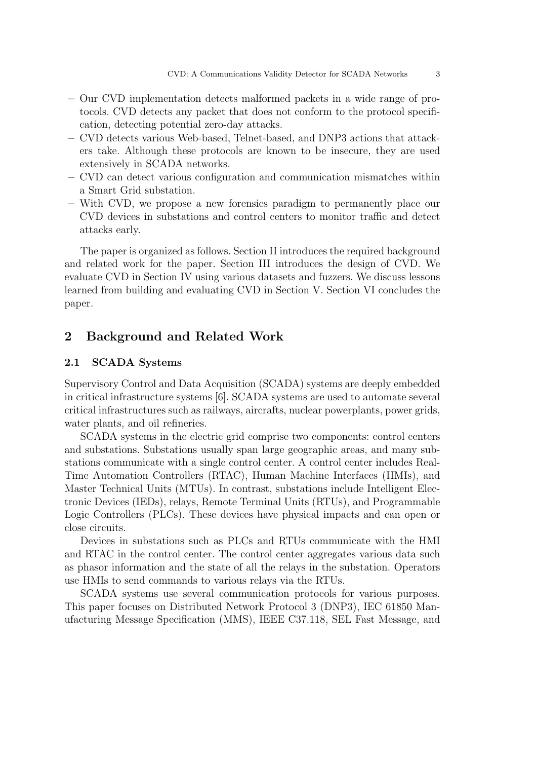- Our CVD implementation detects malformed packets in a wide range of protocols. CVD detects any packet that does not conform to the protocol specification, detecting potential zero-day attacks.
- CVD detects various Web-based, Telnet-based, and DNP3 actions that attackers take. Although these protocols are known to be insecure, they are used extensively in SCADA networks.
- CVD can detect various configuration and communication mismatches within a Smart Grid substation.
- With CVD, we propose a new forensics paradigm to permanently place our CVD devices in substations and control centers to monitor traffic and detect attacks early.

The paper is organized as follows. Section II introduces the required background and related work for the paper. Section III introduces the design of CVD. We evaluate CVD in Section IV using various datasets and fuzzers. We discuss lessons learned from building and evaluating CVD in Section V. Section VI concludes the paper.

### 2 Background and Related Work

#### 2.1 SCADA Systems

Supervisory Control and Data Acquisition (SCADA) systems are deeply embedded in critical infrastructure systems [6]. SCADA systems are used to automate several critical infrastructures such as railways, aircrafts, nuclear powerplants, power grids, water plants, and oil refineries.

SCADA systems in the electric grid comprise two components: control centers and substations. Substations usually span large geographic areas, and many substations communicate with a single control center. A control center includes Real-Time Automation Controllers (RTAC), Human Machine Interfaces (HMIs), and Master Technical Units (MTUs). In contrast, substations include Intelligent Electronic Devices (IEDs), relays, Remote Terminal Units (RTUs), and Programmable Logic Controllers (PLCs). These devices have physical impacts and can open or close circuits.

Devices in substations such as PLCs and RTUs communicate with the HMI and RTAC in the control center. The control center aggregates various data such as phasor information and the state of all the relays in the substation. Operators use HMIs to send commands to various relays via the RTUs.

SCADA systems use several communication protocols for various purposes. This paper focuses on Distributed Network Protocol 3 (DNP3), IEC 61850 Manufacturing Message Specification (MMS), IEEE C37.118, SEL Fast Message, and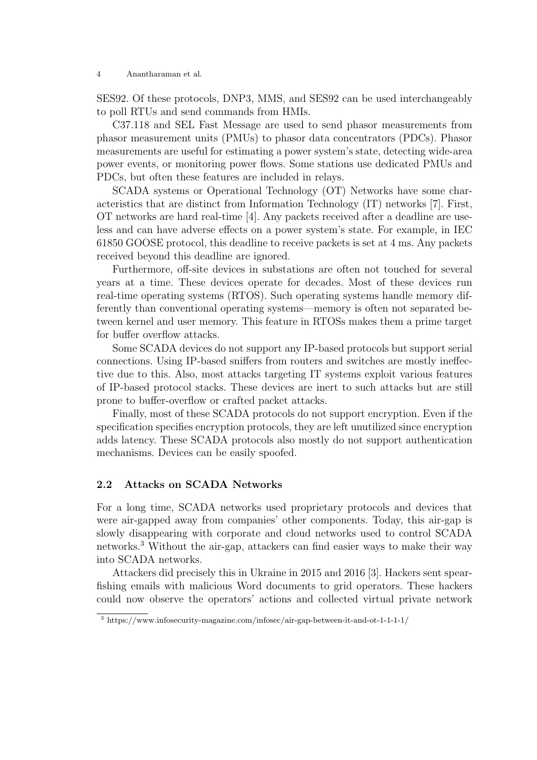SES92. Of these protocols, DNP3, MMS, and SES92 can be used interchangeably to poll RTUs and send commands from HMIs.

C37.118 and SEL Fast Message are used to send phasor measurements from phasor measurement units (PMUs) to phasor data concentrators (PDCs). Phasor measurements are useful for estimating a power system's state, detecting wide-area power events, or monitoring power flows. Some stations use dedicated PMUs and PDCs, but often these features are included in relays.

SCADA systems or Operational Technology (OT) Networks have some characteristics that are distinct from Information Technology (IT) networks [7]. First, OT networks are hard real-time [4]. Any packets received after a deadline are useless and can have adverse effects on a power system's state. For example, in IEC 61850 GOOSE protocol, this deadline to receive packets is set at 4 ms. Any packets received beyond this deadline are ignored.

Furthermore, off-site devices in substations are often not touched for several years at a time. These devices operate for decades. Most of these devices run real-time operating systems (RTOS). Such operating systems handle memory differently than conventional operating systems—memory is often not separated between kernel and user memory. This feature in RTOSs makes them a prime target for buffer overflow attacks.

Some SCADA devices do not support any IP-based protocols but support serial connections. Using IP-based sniffers from routers and switches are mostly ineffective due to this. Also, most attacks targeting IT systems exploit various features of IP-based protocol stacks. These devices are inert to such attacks but are still prone to buffer-overflow or crafted packet attacks.

Finally, most of these SCADA protocols do not support encryption. Even if the specification specifies encryption protocols, they are left unutilized since encryption adds latency. These SCADA protocols also mostly do not support authentication mechanisms. Devices can be easily spoofed.

### 2.2 Attacks on SCADA Networks

For a long time, SCADA networks used proprietary protocols and devices that were air-gapped away from companies' other components. Today, this air-gap is slowly disappearing with corporate and cloud networks used to control SCADA networks.<sup>3</sup> Without the air-gap, attackers can find easier ways to make their way into SCADA networks.

Attackers did precisely this in Ukraine in 2015 and 2016 [3]. Hackers sent spearfishing emails with malicious Word documents to grid operators. These hackers could now observe the operators' actions and collected virtual private network

<sup>3</sup> https://www.infosecurity-magazine.com/infosec/air-gap-between-it-and-ot-1-1-1-1/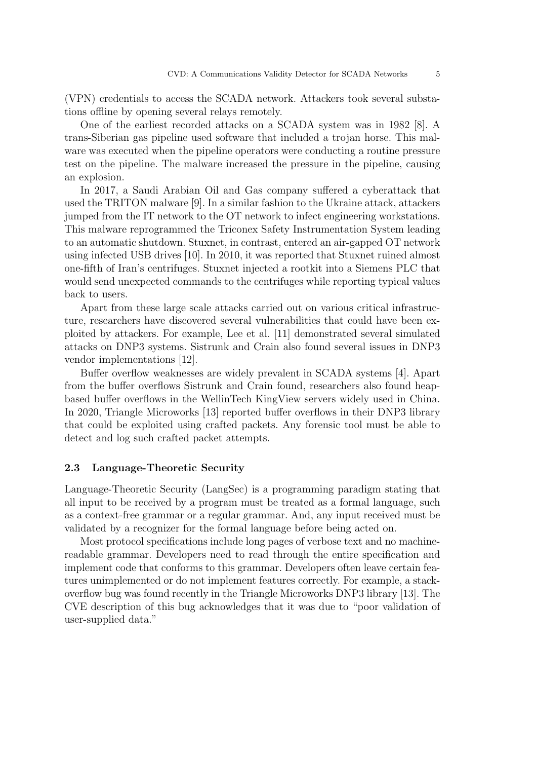(VPN) credentials to access the SCADA network. Attackers took several substations offline by opening several relays remotely.

One of the earliest recorded attacks on a SCADA system was in 1982 [8]. A trans-Siberian gas pipeline used software that included a trojan horse. This malware was executed when the pipeline operators were conducting a routine pressure test on the pipeline. The malware increased the pressure in the pipeline, causing an explosion.

In 2017, a Saudi Arabian Oil and Gas company suffered a cyberattack that used the TRITON malware [9]. In a similar fashion to the Ukraine attack, attackers jumped from the IT network to the OT network to infect engineering workstations. This malware reprogrammed the Triconex Safety Instrumentation System leading to an automatic shutdown. Stuxnet, in contrast, entered an air-gapped OT network using infected USB drives [10]. In 2010, it was reported that Stuxnet ruined almost one-fifth of Iran's centrifuges. Stuxnet injected a rootkit into a Siemens PLC that would send unexpected commands to the centrifuges while reporting typical values back to users.

Apart from these large scale attacks carried out on various critical infrastructure, researchers have discovered several vulnerabilities that could have been exploited by attackers. For example, Lee et al. [11] demonstrated several simulated attacks on DNP3 systems. Sistrunk and Crain also found several issues in DNP3 vendor implementations [12].

Buffer overflow weaknesses are widely prevalent in SCADA systems [4]. Apart from the buffer overflows Sistrunk and Crain found, researchers also found heapbased buffer overflows in the WellinTech KingView servers widely used in China. In 2020, Triangle Microworks [13] reported buffer overflows in their DNP3 library that could be exploited using crafted packets. Any forensic tool must be able to detect and log such crafted packet attempts.

#### 2.3 Language-Theoretic Security

Language-Theoretic Security (LangSec) is a programming paradigm stating that all input to be received by a program must be treated as a formal language, such as a context-free grammar or a regular grammar. And, any input received must be validated by a recognizer for the formal language before being acted on.

Most protocol specifications include long pages of verbose text and no machinereadable grammar. Developers need to read through the entire specification and implement code that conforms to this grammar. Developers often leave certain features unimplemented or do not implement features correctly. For example, a stackoverflow bug was found recently in the Triangle Microworks DNP3 library [13]. The CVE description of this bug acknowledges that it was due to "poor validation of user-supplied data."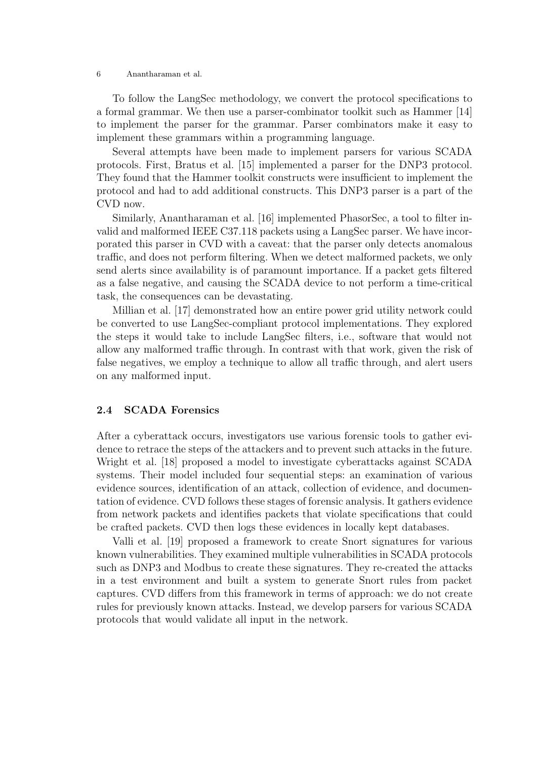To follow the LangSec methodology, we convert the protocol specifications to a formal grammar. We then use a parser-combinator toolkit such as Hammer [14] to implement the parser for the grammar. Parser combinators make it easy to implement these grammars within a programming language.

Several attempts have been made to implement parsers for various SCADA protocols. First, Bratus et al. [15] implemented a parser for the DNP3 protocol. They found that the Hammer toolkit constructs were insufficient to implement the protocol and had to add additional constructs. This DNP3 parser is a part of the CVD now.

Similarly, Anantharaman et al. [16] implemented PhasorSec, a tool to filter invalid and malformed IEEE C37.118 packets using a LangSec parser. We have incorporated this parser in CVD with a caveat: that the parser only detects anomalous traffic, and does not perform filtering. When we detect malformed packets, we only send alerts since availability is of paramount importance. If a packet gets filtered as a false negative, and causing the SCADA device to not perform a time-critical task, the consequences can be devastating.

Millian et al. [17] demonstrated how an entire power grid utility network could be converted to use LangSec-compliant protocol implementations. They explored the steps it would take to include LangSec filters, i.e., software that would not allow any malformed traffic through. In contrast with that work, given the risk of false negatives, we employ a technique to allow all traffic through, and alert users on any malformed input.

#### 2.4 SCADA Forensics

After a cyberattack occurs, investigators use various forensic tools to gather evidence to retrace the steps of the attackers and to prevent such attacks in the future. Wright et al. [18] proposed a model to investigate cyberattacks against SCADA systems. Their model included four sequential steps: an examination of various evidence sources, identification of an attack, collection of evidence, and documentation of evidence. CVD follows these stages of forensic analysis. It gathers evidence from network packets and identifies packets that violate specifications that could be crafted packets. CVD then logs these evidences in locally kept databases.

Valli et al. [19] proposed a framework to create Snort signatures for various known vulnerabilities. They examined multiple vulnerabilities in SCADA protocols such as DNP3 and Modbus to create these signatures. They re-created the attacks in a test environment and built a system to generate Snort rules from packet captures. CVD differs from this framework in terms of approach: we do not create rules for previously known attacks. Instead, we develop parsers for various SCADA protocols that would validate all input in the network.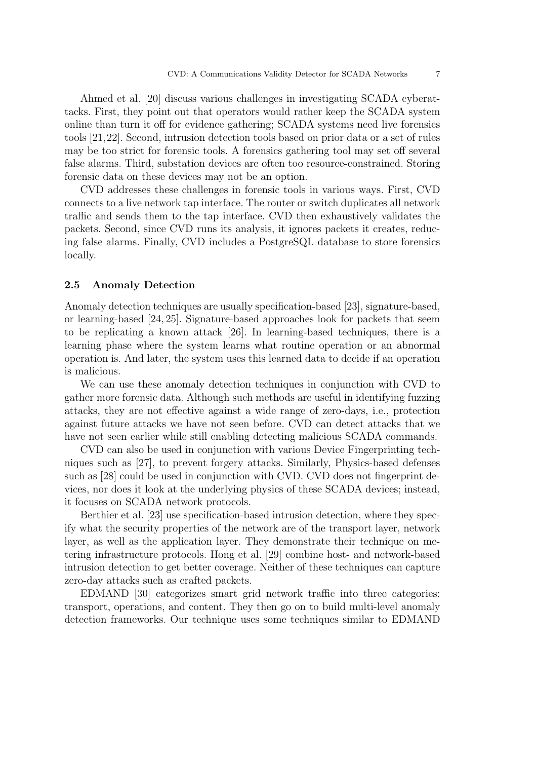Ahmed et al. [20] discuss various challenges in investigating SCADA cyberattacks. First, they point out that operators would rather keep the SCADA system online than turn it off for evidence gathering; SCADA systems need live forensics tools [21,22]. Second, intrusion detection tools based on prior data or a set of rules may be too strict for forensic tools. A forensics gathering tool may set off several false alarms. Third, substation devices are often too resource-constrained. Storing forensic data on these devices may not be an option.

CVD addresses these challenges in forensic tools in various ways. First, CVD connects to a live network tap interface. The router or switch duplicates all network traffic and sends them to the tap interface. CVD then exhaustively validates the packets. Second, since CVD runs its analysis, it ignores packets it creates, reducing false alarms. Finally, CVD includes a PostgreSQL database to store forensics locally.

#### 2.5 Anomaly Detection

Anomaly detection techniques are usually specification-based [23], signature-based, or learning-based [24, 25]. Signature-based approaches look for packets that seem to be replicating a known attack [26]. In learning-based techniques, there is a learning phase where the system learns what routine operation or an abnormal operation is. And later, the system uses this learned data to decide if an operation is malicious.

We can use these anomaly detection techniques in conjunction with CVD to gather more forensic data. Although such methods are useful in identifying fuzzing attacks, they are not effective against a wide range of zero-days, i.e., protection against future attacks we have not seen before. CVD can detect attacks that we have not seen earlier while still enabling detecting malicious SCADA commands.

CVD can also be used in conjunction with various Device Fingerprinting techniques such as [27], to prevent forgery attacks. Similarly, Physics-based defenses such as [28] could be used in conjunction with CVD. CVD does not fingerprint devices, nor does it look at the underlying physics of these SCADA devices; instead, it focuses on SCADA network protocols.

Berthier et al. [23] use specification-based intrusion detection, where they specify what the security properties of the network are of the transport layer, network layer, as well as the application layer. They demonstrate their technique on metering infrastructure protocols. Hong et al. [29] combine host- and network-based intrusion detection to get better coverage. Neither of these techniques can capture zero-day attacks such as crafted packets.

EDMAND [30] categorizes smart grid network traffic into three categories: transport, operations, and content. They then go on to build multi-level anomaly detection frameworks. Our technique uses some techniques similar to EDMAND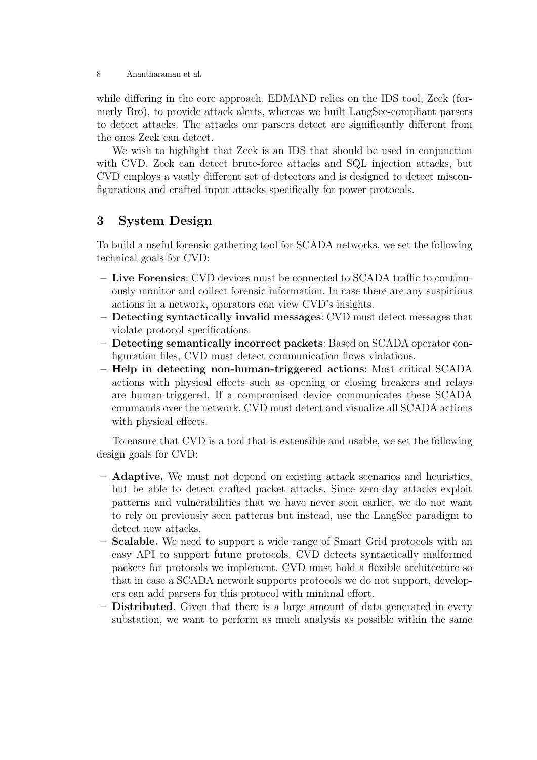while differing in the core approach. EDMAND relies on the IDS tool, Zeek (formerly Bro), to provide attack alerts, whereas we built LangSec-compliant parsers to detect attacks. The attacks our parsers detect are significantly different from the ones Zeek can detect.

We wish to highlight that Zeek is an IDS that should be used in conjunction with CVD. Zeek can detect brute-force attacks and SQL injection attacks, but CVD employs a vastly different set of detectors and is designed to detect misconfigurations and crafted input attacks specifically for power protocols.

## 3 System Design

To build a useful forensic gathering tool for SCADA networks, we set the following technical goals for CVD:

- Live Forensics: CVD devices must be connected to SCADA traffic to continuously monitor and collect forensic information. In case there are any suspicious actions in a network, operators can view CVD's insights.
- Detecting syntactically invalid messages: CVD must detect messages that violate protocol specifications.
- Detecting semantically incorrect packets: Based on SCADA operator configuration files, CVD must detect communication flows violations.
- Help in detecting non-human-triggered actions: Most critical SCADA actions with physical effects such as opening or closing breakers and relays are human-triggered. If a compromised device communicates these SCADA commands over the network, CVD must detect and visualize all SCADA actions with physical effects.

To ensure that CVD is a tool that is extensible and usable, we set the following design goals for CVD:

- Adaptive. We must not depend on existing attack scenarios and heuristics, but be able to detect crafted packet attacks. Since zero-day attacks exploit patterns and vulnerabilities that we have never seen earlier, we do not want to rely on previously seen patterns but instead, use the LangSec paradigm to detect new attacks.
- Scalable. We need to support a wide range of Smart Grid protocols with an easy API to support future protocols. CVD detects syntactically malformed packets for protocols we implement. CVD must hold a flexible architecture so that in case a SCADA network supports protocols we do not support, developers can add parsers for this protocol with minimal effort.
- Distributed. Given that there is a large amount of data generated in every substation, we want to perform as much analysis as possible within the same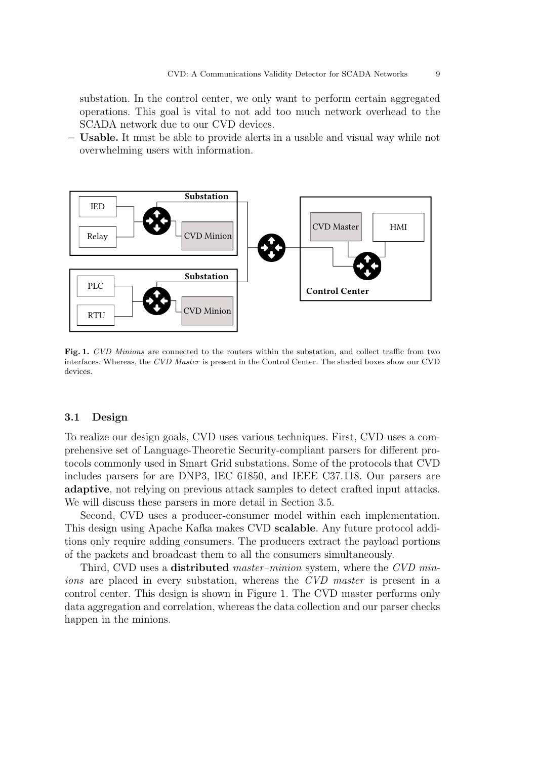substation. In the control center, we only want to perform certain aggregated operations. This goal is vital to not add too much network overhead to the SCADA network due to our CVD devices.

– Usable. It must be able to provide alerts in a usable and visual way while not overwhelming users with information.



Fig. 1. CVD Minions are connected to the routers within the substation, and collect traffic from two interfaces. Whereas, the CVD Master is present in the Control Center. The shaded boxes show our CVD devices.

#### 3.1 Design

To realize our design goals, CVD uses various techniques. First, CVD uses a comprehensive set of Language-Theoretic Security-compliant parsers for different protocols commonly used in Smart Grid substations. Some of the protocols that CVD includes parsers for are DNP3, IEC 61850, and IEEE C37.118. Our parsers are adaptive, not relying on previous attack samples to detect crafted input attacks. We will discuss these parsers in more detail in Section 3.5.

Second, CVD uses a producer-consumer model within each implementation. This design using Apache Kafka makes CVD scalable. Any future protocol additions only require adding consumers. The producers extract the payload portions of the packets and broadcast them to all the consumers simultaneously.

Third, CVD uses a **distributed** master–minion system, where the CVD minions are placed in every substation, whereas the CVD master is present in a control center. This design is shown in Figure 1. The CVD master performs only data aggregation and correlation, whereas the data collection and our parser checks happen in the minions.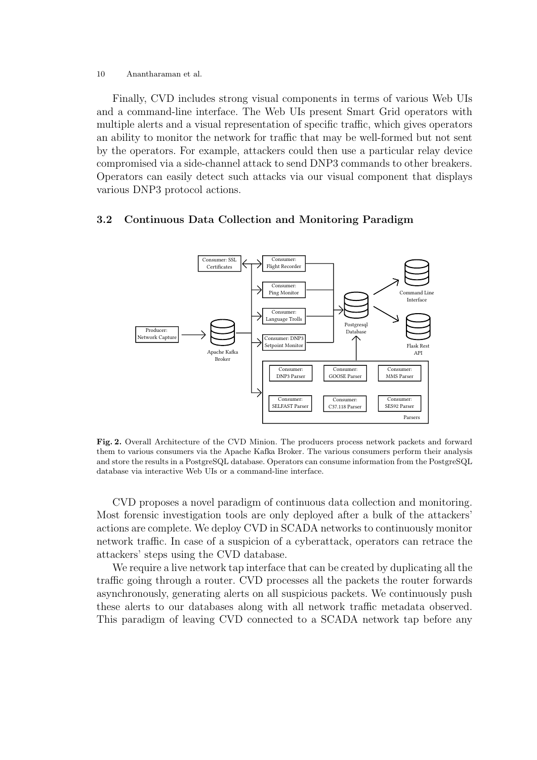Finally, CVD includes strong visual components in terms of various Web UIs and a command-line interface. The Web UIs present Smart Grid operators with multiple alerts and a visual representation of specific traffic, which gives operators an ability to monitor the network for traffic that may be well-formed but not sent by the operators. For example, attackers could then use a particular relay device compromised via a side-channel attack to send DNP3 commands to other breakers. Operators can easily detect such attacks via our visual component that displays various DNP3 protocol actions.

#### 3.2 Continuous Data Collection and Monitoring Paradigm



Fig. 2. Overall Architecture of the CVD Minion. The producers process network packets and forward them to various consumers via the Apache Kafka Broker. The various consumers perform their analysis and store the results in a PostgreSQL database. Operators can consume information from the PostgreSQL database via interactive Web UIs or a command-line interface.

CVD proposes a novel paradigm of continuous data collection and monitoring. Most forensic investigation tools are only deployed after a bulk of the attackers' actions are complete. We deploy CVD in SCADA networks to continuously monitor network traffic. In case of a suspicion of a cyberattack, operators can retrace the attackers' steps using the CVD database.

We require a live network tap interface that can be created by duplicating all the traffic going through a router. CVD processes all the packets the router forwards asynchronously, generating alerts on all suspicious packets. We continuously push these alerts to our databases along with all network traffic metadata observed. This paradigm of leaving CVD connected to a SCADA network tap before any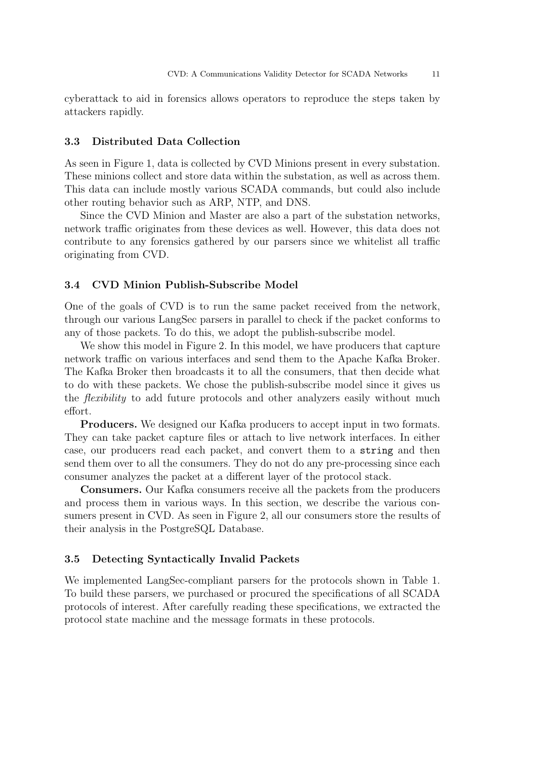cyberattack to aid in forensics allows operators to reproduce the steps taken by attackers rapidly.

#### 3.3 Distributed Data Collection

As seen in Figure 1, data is collected by CVD Minions present in every substation. These minions collect and store data within the substation, as well as across them. This data can include mostly various SCADA commands, but could also include other routing behavior such as ARP, NTP, and DNS.

Since the CVD Minion and Master are also a part of the substation networks, network traffic originates from these devices as well. However, this data does not contribute to any forensics gathered by our parsers since we whitelist all traffic originating from CVD.

#### 3.4 CVD Minion Publish-Subscribe Model

One of the goals of CVD is to run the same packet received from the network, through our various LangSec parsers in parallel to check if the packet conforms to any of those packets. To do this, we adopt the publish-subscribe model.

We show this model in Figure 2. In this model, we have producers that capture network traffic on various interfaces and send them to the Apache Kafka Broker. The Kafka Broker then broadcasts it to all the consumers, that then decide what to do with these packets. We chose the publish-subscribe model since it gives us the flexibility to add future protocols and other analyzers easily without much effort.

Producers. We designed our Kafka producers to accept input in two formats. They can take packet capture files or attach to live network interfaces. In either case, our producers read each packet, and convert them to a string and then send them over to all the consumers. They do not do any pre-processing since each consumer analyzes the packet at a different layer of the protocol stack.

Consumers. Our Kafka consumers receive all the packets from the producers and process them in various ways. In this section, we describe the various consumers present in CVD. As seen in Figure 2, all our consumers store the results of their analysis in the PostgreSQL Database.

#### 3.5 Detecting Syntactically Invalid Packets

We implemented LangSec-compliant parsers for the protocols shown in Table 1. To build these parsers, we purchased or procured the specifications of all SCADA protocols of interest. After carefully reading these specifications, we extracted the protocol state machine and the message formats in these protocols.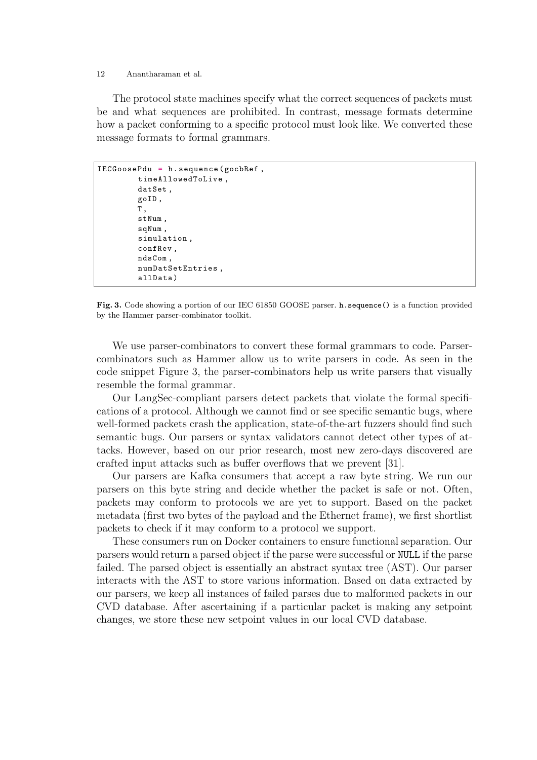The protocol state machines specify what the correct sequences of packets must be and what sequences are prohibited. In contrast, message formats determine how a packet conforming to a specific protocol must look like. We converted these message formats to formal grammars.

```
IECGoosePdu = h . sequence ( gocbRef ,
timeAllowedToLive ,
datSet ,
goID ,
T ,
stNum ,
sqNum ,
simulation ,
confRev ,
ndsCom ,
numDatSetEntries ,
allData )
```
Fig. 3. Code showing a portion of our IEC 61850 GOOSE parser. h.sequence() is a function provided by the Hammer parser-combinator toolkit.

We use parser-combinators to convert these formal grammars to code. Parsercombinators such as Hammer allow us to write parsers in code. As seen in the code snippet Figure 3, the parser-combinators help us write parsers that visually resemble the formal grammar.

Our LangSec-compliant parsers detect packets that violate the formal specifications of a protocol. Although we cannot find or see specific semantic bugs, where well-formed packets crash the application, state-of-the-art fuzzers should find such semantic bugs. Our parsers or syntax validators cannot detect other types of attacks. However, based on our prior research, most new zero-days discovered are crafted input attacks such as buffer overflows that we prevent [31].

Our parsers are Kafka consumers that accept a raw byte string. We run our parsers on this byte string and decide whether the packet is safe or not. Often, packets may conform to protocols we are yet to support. Based on the packet metadata (first two bytes of the payload and the Ethernet frame), we first shortlist packets to check if it may conform to a protocol we support.

These consumers run on Docker containers to ensure functional separation. Our parsers would return a parsed object if the parse were successful or NULL if the parse failed. The parsed object is essentially an abstract syntax tree (AST). Our parser interacts with the AST to store various information. Based on data extracted by our parsers, we keep all instances of failed parses due to malformed packets in our CVD database. After ascertaining if a particular packet is making any setpoint changes, we store these new setpoint values in our local CVD database.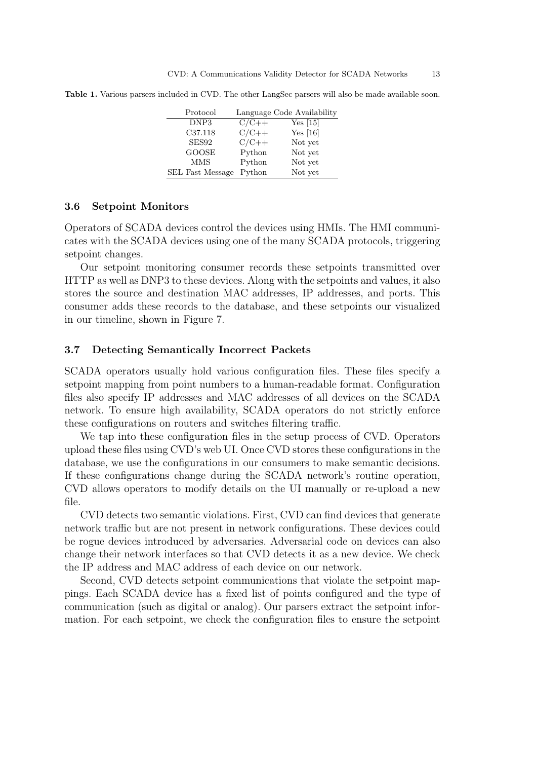| Protocol                |         | Language Code Availability |
|-------------------------|---------|----------------------------|
| DNP3                    | $C/C++$ | Yes [15]                   |
| C37.118                 | $C/C++$ | Yes $[16]$                 |
| SES92                   | $C/C++$ | Not yet                    |
| <b>GOOSE</b>            | Python  | Not yet                    |
| <b>MMS</b>              | Python  | Not yet                    |
| <b>SEL Fast Message</b> | Python  | Not yet                    |

Table 1. Various parsers included in CVD. The other LangSec parsers will also be made available soon.

#### 3.6 Setpoint Monitors

Operators of SCADA devices control the devices using HMIs. The HMI communicates with the SCADA devices using one of the many SCADA protocols, triggering setpoint changes.

Our setpoint monitoring consumer records these setpoints transmitted over HTTP as well as DNP3 to these devices. Along with the setpoints and values, it also stores the source and destination MAC addresses, IP addresses, and ports. This consumer adds these records to the database, and these setpoints our visualized in our timeline, shown in Figure 7.

#### 3.7 Detecting Semantically Incorrect Packets

SCADA operators usually hold various configuration files. These files specify a setpoint mapping from point numbers to a human-readable format. Configuration files also specify IP addresses and MAC addresses of all devices on the SCADA network. To ensure high availability, SCADA operators do not strictly enforce these configurations on routers and switches filtering traffic.

We tap into these configuration files in the setup process of CVD. Operators upload these files using CVD's web UI. Once CVD stores these configurations in the database, we use the configurations in our consumers to make semantic decisions. If these configurations change during the SCADA network's routine operation, CVD allows operators to modify details on the UI manually or re-upload a new file.

CVD detects two semantic violations. First, CVD can find devices that generate network traffic but are not present in network configurations. These devices could be rogue devices introduced by adversaries. Adversarial code on devices can also change their network interfaces so that CVD detects it as a new device. We check the IP address and MAC address of each device on our network.

Second, CVD detects setpoint communications that violate the setpoint mappings. Each SCADA device has a fixed list of points configured and the type of communication (such as digital or analog). Our parsers extract the setpoint information. For each setpoint, we check the configuration files to ensure the setpoint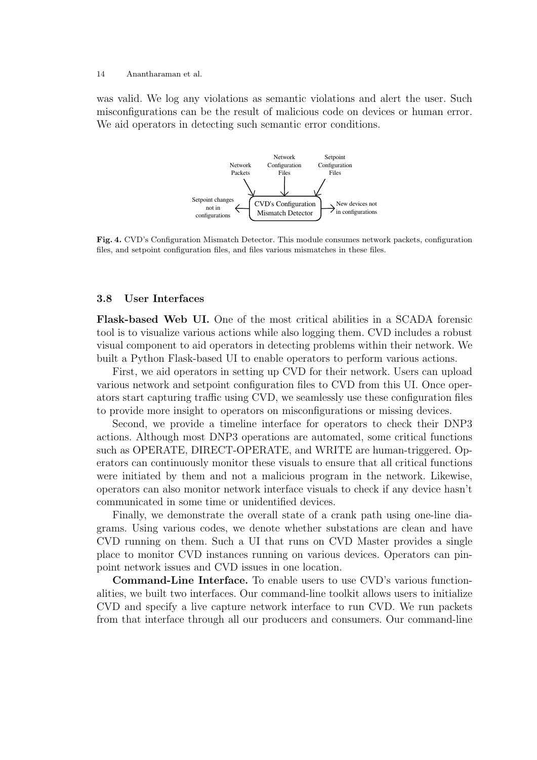was valid. We log any violations as semantic violations and alert the user. Such misconfigurations can be the result of malicious code on devices or human error. We aid operators in detecting such semantic error conditions.



Fig. 4. CVD's Configuration Mismatch Detector. This module consumes network packets, configuration files, and setpoint configuration files, and files various mismatches in these files.

#### 3.8 User Interfaces

Flask-based Web UI. One of the most critical abilities in a SCADA forensic tool is to visualize various actions while also logging them. CVD includes a robust visual component to aid operators in detecting problems within their network. We built a Python Flask-based UI to enable operators to perform various actions.

First, we aid operators in setting up CVD for their network. Users can upload various network and setpoint configuration files to CVD from this UI. Once operators start capturing traffic using CVD, we seamlessly use these configuration files to provide more insight to operators on misconfigurations or missing devices.

Second, we provide a timeline interface for operators to check their DNP3 actions. Although most DNP3 operations are automated, some critical functions such as OPERATE, DIRECT-OPERATE, and WRITE are human-triggered. Operators can continuously monitor these visuals to ensure that all critical functions were initiated by them and not a malicious program in the network. Likewise, operators can also monitor network interface visuals to check if any device hasn't communicated in some time or unidentified devices.

Finally, we demonstrate the overall state of a crank path using one-line diagrams. Using various codes, we denote whether substations are clean and have CVD running on them. Such a UI that runs on CVD Master provides a single place to monitor CVD instances running on various devices. Operators can pinpoint network issues and CVD issues in one location.

Command-Line Interface. To enable users to use CVD's various functionalities, we built two interfaces. Our command-line toolkit allows users to initialize CVD and specify a live capture network interface to run CVD. We run packets from that interface through all our producers and consumers. Our command-line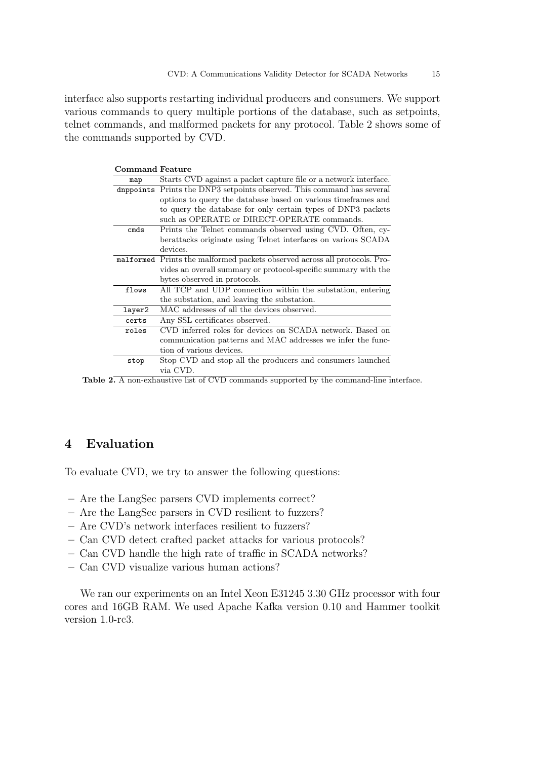interface also supports restarting individual producers and consumers. We support various commands to query multiple portions of the database, such as setpoints, telnet commands, and malformed packets for any protocol. Table 2 shows some of the commands supported by CVD.

| <b>Command Feature</b> |                                                                            |
|------------------------|----------------------------------------------------------------------------|
| map                    | Starts CVD against a packet capture file or a network interface.           |
|                        | dnppoints Prints the DNP3 setpoints observed. This command has several     |
|                        | options to query the database based on various time frames and             |
|                        | to query the database for only certain types of DNP3 packets               |
|                        | such as OPERATE or DIRECT-OPERATE commands.                                |
| cmds                   | Prints the Telnet commands observed using CVD. Often, cy-                  |
|                        | berattacks originate using Telnet interfaces on various SCADA              |
|                        | devices.                                                                   |
|                        | malformed Prints the malformed packets observed across all protocols. Pro- |
|                        | vides an overall summary or protocol-specific summary with the             |
|                        | bytes observed in protocols.                                               |
| flows                  | All TCP and UDP connection within the substation, entering                 |
|                        | the substation, and leaving the substation.                                |
| layer2                 | MAC addresses of all the devices observed.                                 |
| certs                  | Any SSL certificates observed.                                             |
| roles                  | CVD inferred roles for devices on SCADA network. Based on                  |
|                        | communication patterns and MAC addresses we infer the func-                |
|                        | tion of various devices.                                                   |
| stop                   | Stop CVD and stop all the producers and consumers launched                 |
|                        | via CVD.                                                                   |

Table 2. A non-exhaustive list of CVD commands supported by the command-line interface.

### 4 Evaluation

To evaluate CVD, we try to answer the following questions:

- Are the LangSec parsers CVD implements correct?
- Are the LangSec parsers in CVD resilient to fuzzers?
- Are CVD's network interfaces resilient to fuzzers?
- Can CVD detect crafted packet attacks for various protocols?
- Can CVD handle the high rate of traffic in SCADA networks?
- Can CVD visualize various human actions?

We ran our experiments on an Intel Xeon E31245 3.30 GHz processor with four cores and 16GB RAM. We used Apache Kafka version 0.10 and Hammer toolkit version 1.0-rc3.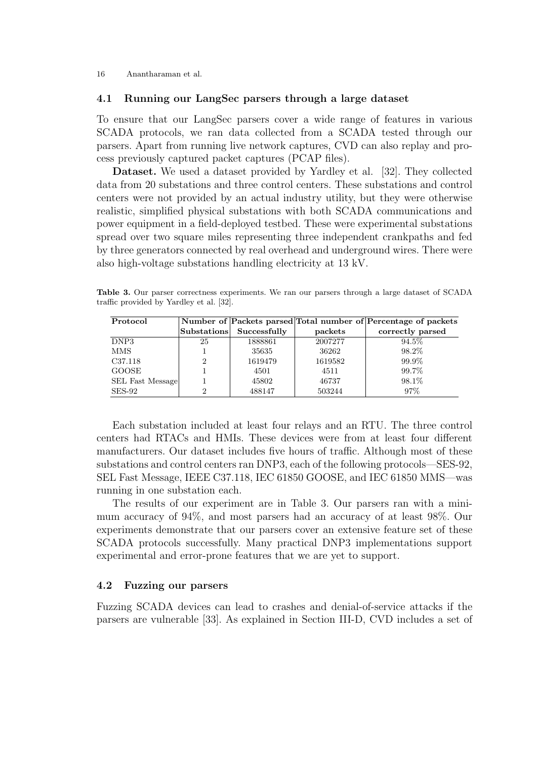#### 4.1 Running our LangSec parsers through a large dataset

To ensure that our LangSec parsers cover a wide range of features in various SCADA protocols, we ran data collected from a SCADA tested through our parsers. Apart from running live network captures, CVD can also replay and process previously captured packet captures (PCAP files).

Dataset. We used a dataset provided by Yardley et al. [32]. They collected data from 20 substations and three control centers. These substations and control centers were not provided by an actual industry utility, but they were otherwise realistic, simplified physical substations with both SCADA communications and power equipment in a field-deployed testbed. These were experimental substations spread over two square miles representing three independent crankpaths and fed by three generators connected by real overhead and underground wires. There were also high-voltage substations handling electricity at 13 kV.

Table 3. Our parser correctness experiments. We ran our parsers through a large dataset of SCADA traffic provided by Yardley et al. [32].

| Protocol            |                |                          |         | Number of Packets parsed Total number of Percentage of packets |
|---------------------|----------------|--------------------------|---------|----------------------------------------------------------------|
|                     |                | Substations Successfully | packets | correctly parsed                                               |
| DNP3                | 25             | 1888861                  | 2007277 | 94.5%                                                          |
| <b>MMS</b>          |                | 35635                    | 36262   | 98.2%                                                          |
| C <sub>37.118</sub> | $\overline{2}$ | 1619479                  | 1619582 | 99.9%                                                          |
| <b>GOOSE</b>        |                | 4501                     | 4511    | 99.7%                                                          |
| SEL Fast Message    |                | 45802                    | 46737   | 98.1%                                                          |
| $SES-92$            | 2              | 488147                   | 503244  | $97\%$                                                         |

Each substation included at least four relays and an RTU. The three control centers had RTACs and HMIs. These devices were from at least four different manufacturers. Our dataset includes five hours of traffic. Although most of these substations and control centers ran DNP3, each of the following protocols—SES-92, SEL Fast Message, IEEE C37.118, IEC 61850 GOOSE, and IEC 61850 MMS—was running in one substation each.

The results of our experiment are in Table 3. Our parsers ran with a minimum accuracy of 94%, and most parsers had an accuracy of at least 98%. Our experiments demonstrate that our parsers cover an extensive feature set of these SCADA protocols successfully. Many practical DNP3 implementations support experimental and error-prone features that we are yet to support.

### 4.2 Fuzzing our parsers

Fuzzing SCADA devices can lead to crashes and denial-of-service attacks if the parsers are vulnerable [33]. As explained in Section III-D, CVD includes a set of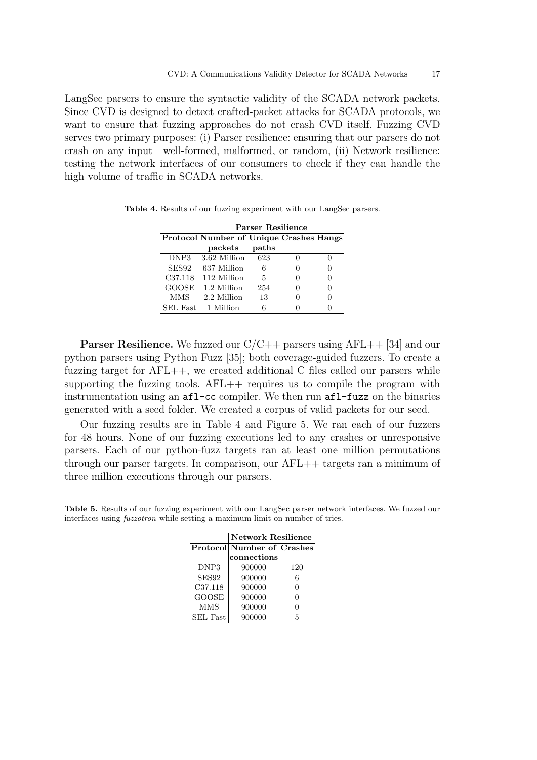LangSec parsers to ensure the syntactic validity of the SCADA network packets. Since CVD is designed to detect crafted-packet attacks for SCADA protocols, we want to ensure that fuzzing approaches do not crash CVD itself. Fuzzing CVD serves two primary purposes: (i) Parser resilience: ensuring that our parsers do not crash on any input—well-formed, malformed, or random, (ii) Network resilience: testing the network interfaces of our consumers to check if they can handle the high volume of traffic in SCADA networks.

|                     | <b>Parser Resilience</b>                       |       |  |  |
|---------------------|------------------------------------------------|-------|--|--|
|                     | <b>Protocol</b> Number of Unique Crashes Hangs |       |  |  |
|                     | packets                                        | paths |  |  |
| DNP <sub>3</sub>    | 3.62 Million                                   | 623   |  |  |
| SES92               | 637 Million                                    | 6     |  |  |
| C <sub>37.118</sub> | 112 Million                                    | 5     |  |  |
| <b>GOOSE</b>        | 1.2 Million                                    | 254   |  |  |
| <b>MMS</b>          | 2.2 Million                                    | 13    |  |  |
| <b>SEL Fast</b>     | 1 Million                                      |       |  |  |

Table 4. Results of our fuzzing experiment with our LangSec parsers.

**Parser Resilience.** We fuzzed our  $C/C++$  parsers using  $AFL++$  [34] and our python parsers using Python Fuzz [35]; both coverage-guided fuzzers. To create a fuzzing target for  $AFL++$ , we created additional C files called our parsers while supporting the fuzzing tools.  $AFL++$  requires us to compile the program with instrumentation using an afl-cc compiler. We then run afl-fuzz on the binaries generated with a seed folder. We created a corpus of valid packets for our seed.

Our fuzzing results are in Table 4 and Figure 5. We ran each of our fuzzers for 48 hours. None of our fuzzing executions led to any crashes or unresponsive parsers. Each of our python-fuzz targets ran at least one million permutations through our parser targets. In comparison, our AFL++ targets ran a minimum of three million executions through our parsers.

|                  | <b>Network Resilience</b>         |     |  |
|------------------|-----------------------------------|-----|--|
|                  | <b>Protocol</b> Number of Crashes |     |  |
|                  | connections                       |     |  |
| DNP <sub>3</sub> | 900000                            | 120 |  |
| SES92            | 900000                            | 6   |  |
| C37.118          | 900000                            | 0   |  |
| <b>GOOSE</b>     | 900000                            | 0   |  |
| <b>MMS</b>       | 900000                            | 0   |  |
| <b>SEL Fast</b>  | 900000                            | 5   |  |

Table 5. Results of our fuzzing experiment with our LangSec parser network interfaces. We fuzzed our interfaces using fuzzotron while setting a maximum limit on number of tries.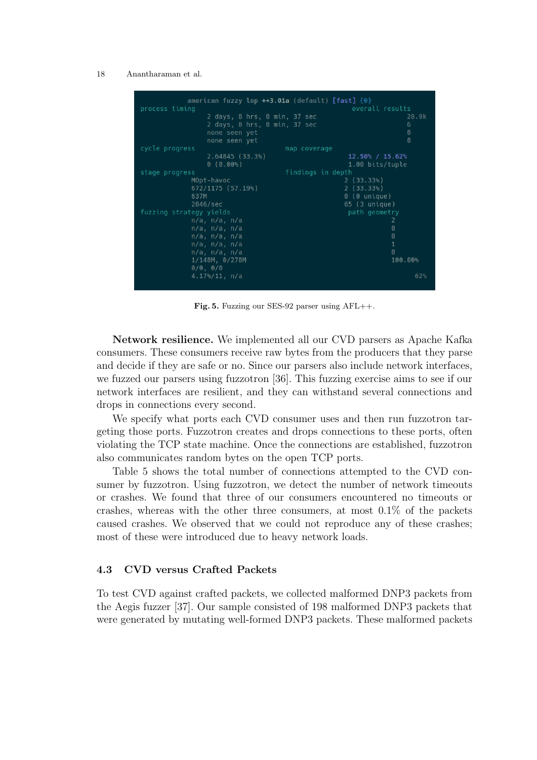

Fig. 5. Fuzzing our SES-92 parser using AFL++.

Network resilience. We implemented all our CVD parsers as Apache Kafka consumers. These consumers receive raw bytes from the producers that they parse and decide if they are safe or no. Since our parsers also include network interfaces, we fuzzed our parsers using fuzzotron [36]. This fuzzing exercise aims to see if our network interfaces are resilient, and they can withstand several connections and drops in connections every second.

We specify what ports each CVD consumer uses and then run fuzzotron targeting those ports. Fuzzotron creates and drops connections to these ports, often violating the TCP state machine. Once the connections are established, fuzzotron also communicates random bytes on the open TCP ports.

Table 5 shows the total number of connections attempted to the CVD consumer by fuzzotron. Using fuzzotron, we detect the number of network timeouts or crashes. We found that three of our consumers encountered no timeouts or crashes, whereas with the other three consumers, at most  $0.1\%$  of the packets caused crashes. We observed that we could not reproduce any of these crashes; most of these were introduced due to heavy network loads.

#### 4.3 CVD versus Crafted Packets

To test CVD against crafted packets, we collected malformed DNP3 packets from the Aegis fuzzer [37]. Our sample consisted of 198 malformed DNP3 packets that were generated by mutating well-formed DNP3 packets. These malformed packets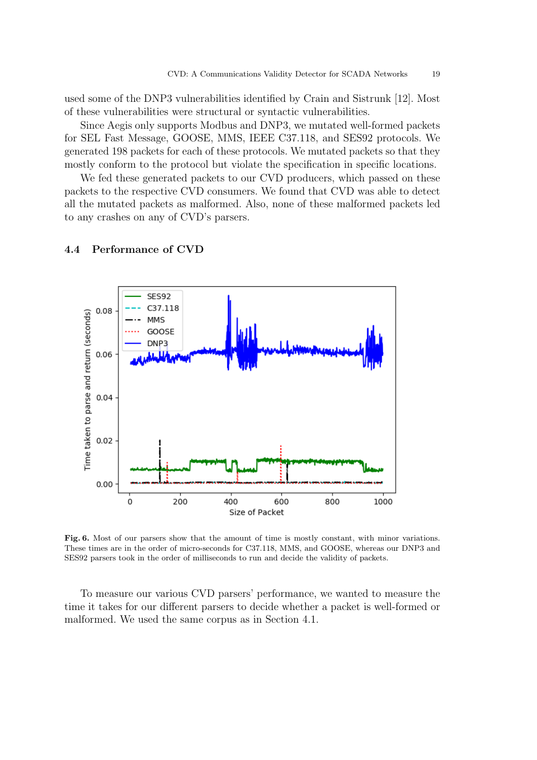used some of the DNP3 vulnerabilities identified by Crain and Sistrunk [12]. Most of these vulnerabilities were structural or syntactic vulnerabilities.

Since Aegis only supports Modbus and DNP3, we mutated well-formed packets for SEL Fast Message, GOOSE, MMS, IEEE C37.118, and SES92 protocols. We generated 198 packets for each of these protocols. We mutated packets so that they mostly conform to the protocol but violate the specification in specific locations.

We fed these generated packets to our CVD producers, which passed on these packets to the respective CVD consumers. We found that CVD was able to detect all the mutated packets as malformed. Also, none of these malformed packets led to any crashes on any of CVD's parsers.



#### 4.4 Performance of CVD

Fig. 6. Most of our parsers show that the amount of time is mostly constant, with minor variations. These times are in the order of micro-seconds for C37.118, MMS, and GOOSE, whereas our DNP3 and SES92 parsers took in the order of milliseconds to run and decide the validity of packets.

To measure our various CVD parsers' performance, we wanted to measure the time it takes for our different parsers to decide whether a packet is well-formed or malformed. We used the same corpus as in Section 4.1.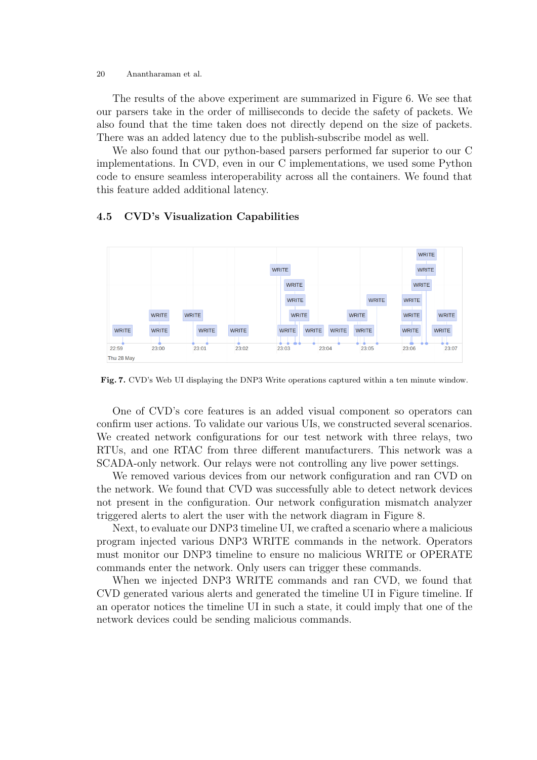The results of the above experiment are summarized in Figure 6. We see that our parsers take in the order of milliseconds to decide the safety of packets. We also found that the time taken does not directly depend on the size of packets. There was an added latency due to the publish-subscribe model as well.

We also found that our python-based parsers performed far superior to our C implementations. In CVD, even in our C implementations, we used some Python code to ensure seamless interoperability across all the containers. We found that this feature added additional latency.

#### WRITE **WRITE** WRITE WRITE WRITE **WRITE** WRITE WRITE WRITE WRITE WRITE WRITE WRITE WRITE WRITE WRITE WRITE WRITE WRITE WRITE **WRITE** WRITE WRITE WRITE 22:59 23:00 23:01 23:02  $23:03$ 23:04 23:05  $23:06$  $23:07$ Thu 28 May

### 4.5 CVD's Visualization Capabilities

Fig. 7. CVD's Web UI displaying the DNP3 Write operations captured within a ten minute window.

One of CVD's core features is an added visual component so operators can confirm user actions. To validate our various UIs, we constructed several scenarios. We created network configurations for our test network with three relays, two RTUs, and one RTAC from three different manufacturers. This network was a SCADA-only network. Our relays were not controlling any live power settings.

We removed various devices from our network configuration and ran CVD on the network. We found that CVD was successfully able to detect network devices not present in the configuration. Our network configuration mismatch analyzer triggered alerts to alert the user with the network diagram in Figure 8.

Next, to evaluate our DNP3 timeline UI, we crafted a scenario where a malicious program injected various DNP3 WRITE commands in the network. Operators must monitor our DNP3 timeline to ensure no malicious WRITE or OPERATE commands enter the network. Only users can trigger these commands.

When we injected DNP3 WRITE commands and ran CVD, we found that CVD generated various alerts and generated the timeline UI in Figure timeline. If an operator notices the timeline UI in such a state, it could imply that one of the network devices could be sending malicious commands.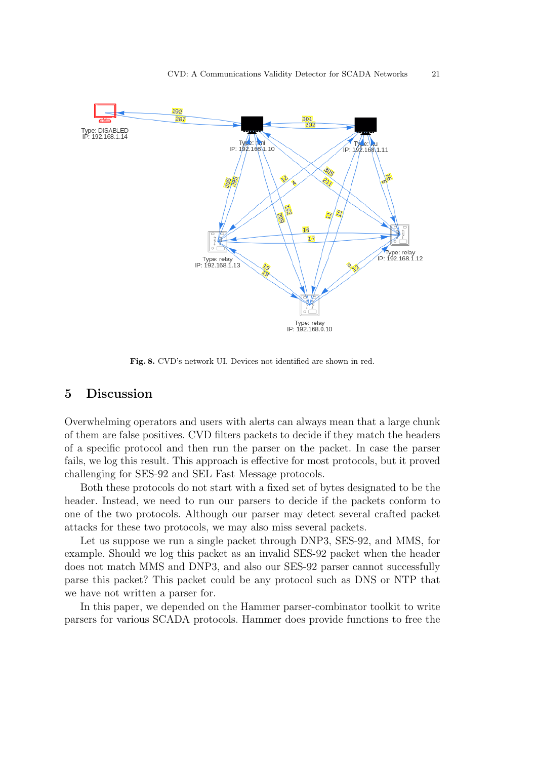

Fig. 8. CVD's network UI. Devices not identified are shown in red.

### 5 Discussion

Overwhelming operators and users with alerts can always mean that a large chunk of them are false positives. CVD filters packets to decide if they match the headers of a specific protocol and then run the parser on the packet. In case the parser fails, we log this result. This approach is effective for most protocols, but it proved challenging for SES-92 and SEL Fast Message protocols.

Both these protocols do not start with a fixed set of bytes designated to be the header. Instead, we need to run our parsers to decide if the packets conform to one of the two protocols. Although our parser may detect several crafted packet attacks for these two protocols, we may also miss several packets.

Let us suppose we run a single packet through DNP3, SES-92, and MMS, for example. Should we log this packet as an invalid SES-92 packet when the header does not match MMS and DNP3, and also our SES-92 parser cannot successfully parse this packet? This packet could be any protocol such as DNS or NTP that we have not written a parser for.

In this paper, we depended on the Hammer parser-combinator toolkit to write parsers for various SCADA protocols. Hammer does provide functions to free the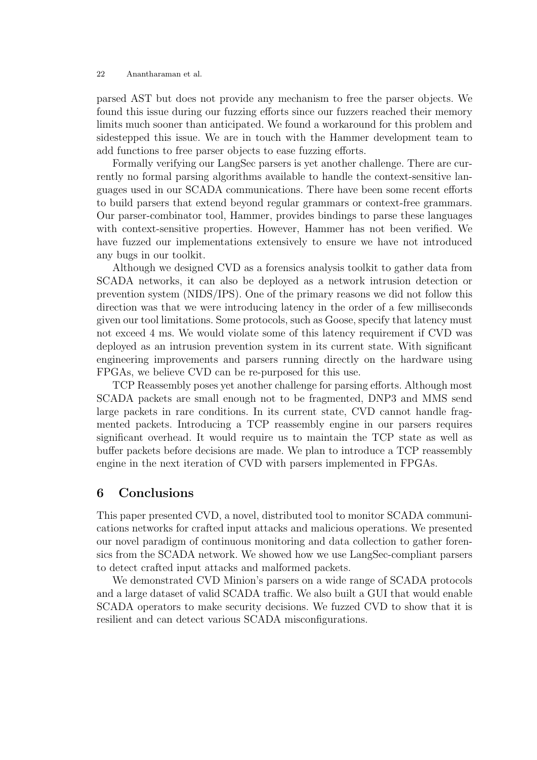parsed AST but does not provide any mechanism to free the parser objects. We found this issue during our fuzzing efforts since our fuzzers reached their memory limits much sooner than anticipated. We found a workaround for this problem and sidestepped this issue. We are in touch with the Hammer development team to add functions to free parser objects to ease fuzzing efforts.

Formally verifying our LangSec parsers is yet another challenge. There are currently no formal parsing algorithms available to handle the context-sensitive languages used in our SCADA communications. There have been some recent efforts to build parsers that extend beyond regular grammars or context-free grammars. Our parser-combinator tool, Hammer, provides bindings to parse these languages with context-sensitive properties. However, Hammer has not been verified. We have fuzzed our implementations extensively to ensure we have not introduced any bugs in our toolkit.

Although we designed CVD as a forensics analysis toolkit to gather data from SCADA networks, it can also be deployed as a network intrusion detection or prevention system (NIDS/IPS). One of the primary reasons we did not follow this direction was that we were introducing latency in the order of a few milliseconds given our tool limitations. Some protocols, such as Goose, specify that latency must not exceed 4 ms. We would violate some of this latency requirement if CVD was deployed as an intrusion prevention system in its current state. With significant engineering improvements and parsers running directly on the hardware using FPGAs, we believe CVD can be re-purposed for this use.

TCP Reassembly poses yet another challenge for parsing efforts. Although most SCADA packets are small enough not to be fragmented, DNP3 and MMS send large packets in rare conditions. In its current state, CVD cannot handle fragmented packets. Introducing a TCP reassembly engine in our parsers requires significant overhead. It would require us to maintain the TCP state as well as buffer packets before decisions are made. We plan to introduce a TCP reassembly engine in the next iteration of CVD with parsers implemented in FPGAs.

### 6 Conclusions

This paper presented CVD, a novel, distributed tool to monitor SCADA communications networks for crafted input attacks and malicious operations. We presented our novel paradigm of continuous monitoring and data collection to gather forensics from the SCADA network. We showed how we use LangSec-compliant parsers to detect crafted input attacks and malformed packets.

We demonstrated CVD Minion's parsers on a wide range of SCADA protocols and a large dataset of valid SCADA traffic. We also built a GUI that would enable SCADA operators to make security decisions. We fuzzed CVD to show that it is resilient and can detect various SCADA misconfigurations.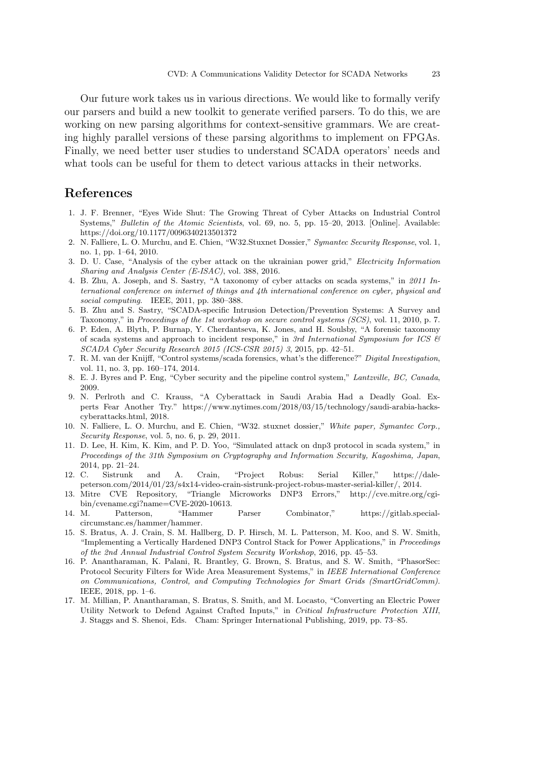Our future work takes us in various directions. We would like to formally verify our parsers and build a new toolkit to generate verified parsers. To do this, we are working on new parsing algorithms for context-sensitive grammars. We are creating highly parallel versions of these parsing algorithms to implement on FPGAs. Finally, we need better user studies to understand SCADA operators' needs and what tools can be useful for them to detect various attacks in their networks.

### References

- 1. J. F. Brenner, "Eyes Wide Shut: The Growing Threat of Cyber Attacks on Industrial Control Systems," Bulletin of the Atomic Scientists, vol. 69, no. 5, pp. 15–20, 2013. [Online]. Available: https://doi.org/10.1177/0096340213501372
- 2. N. Falliere, L. O. Murchu, and E. Chien, "W32.Stuxnet Dossier," Symantec Security Response, vol. 1, no. 1, pp. 1–64, 2010.
- 3. D. U. Case, "Analysis of the cyber attack on the ukrainian power grid," Electricity Information Sharing and Analysis Center (E-ISAC), vol. 388, 2016.
- 4. B. Zhu, A. Joseph, and S. Sastry, "A taxonomy of cyber attacks on scada systems," in 2011 International conference on internet of things and 4th international conference on cyber, physical and social computing. IEEE, 2011, pp. 380-388.
- 5. B. Zhu and S. Sastry, "SCADA-specific Intrusion Detection/Prevention Systems: A Survey and Taxonomy," in Proceedings of the 1st workshop on secure control systems (SCS), vol. 11, 2010, p. 7.
- 6. P. Eden, A. Blyth, P. Burnap, Y. Cherdantseva, K. Jones, and H. Soulsby, "A forensic taxonomy of scada systems and approach to incident response," in 3rd International Symposium for ICS  $\mathcal B$ SCADA Cyber Security Research 2015 (ICS-CSR 2015) 3, 2015, pp. 42–51.
- 7. R. M. van der Knijff, "Control systems/scada forensics, what's the difference?" Digital Investigation, vol. 11, no. 3, pp. 160–174, 2014.
- 8. E. J. Byres and P. Eng, "Cyber security and the pipeline control system," Lantzville, BC, Canada, 2009.
- 9. N. Perlroth and C. Krauss, "A Cyberattack in Saudi Arabia Had a Deadly Goal. Experts Fear Another Try." https://www.nytimes.com/2018/03/15/technology/saudi-arabia-hackscyberattacks.html, 2018.
- 10. N. Falliere, L. O. Murchu, and E. Chien, "W32. stuxnet dossier," White paper, Symantec Corp., Security Response, vol. 5, no. 6, p. 29, 2011.
- 11. D. Lee, H. Kim, K. Kim, and P. D. Yoo, "Simulated attack on dnp3 protocol in scada system," in Proceedings of the 31th Symposium on Cryptography and Information Security, Kagoshima, Japan,
- 2014, pp. 21–24. 12. C. Sistrunk and A. Crain, "Project Robus: Serial Killer," https://dalepeterson.com/2014/01/23/s4x14-video-crain-sistrunk-project-robus-master-serial-killer/, 2014.
- 13. Mitre CVE Repository, "Triangle Microworks DNP3 Errors," http://cve.mitre.org/cgibin/cvename.cgi?name=CVE-2020-10613.
- 14. M. Patterson, "Hammer Parser Combinator," https://gitlab.specialcircumstanc.es/hammer/hammer.
- 15. S. Bratus, A. J. Crain, S. M. Hallberg, D. P. Hirsch, M. L. Patterson, M. Koo, and S. W. Smith, "Implementing a Vertically Hardened DNP3 Control Stack for Power Applications," in Proceedings of the 2nd Annual Industrial Control System Security Workshop, 2016, pp. 45–53.
- 16. P. Anantharaman, K. Palani, R. Brantley, G. Brown, S. Bratus, and S. W. Smith, "PhasorSec: Protocol Security Filters for Wide Area Measurement Systems," in IEEE International Conference on Communications, Control, and Computing Technologies for Smart Grids (SmartGridComm). IEEE, 2018, pp. 1–6.
- 17. M. Millian, P. Anantharaman, S. Bratus, S. Smith, and M. Locasto, "Converting an Electric Power Utility Network to Defend Against Crafted Inputs," in Critical Infrastructure Protection XIII, J. Staggs and S. Shenoi, Eds. Cham: Springer International Publishing, 2019, pp. 73–85.